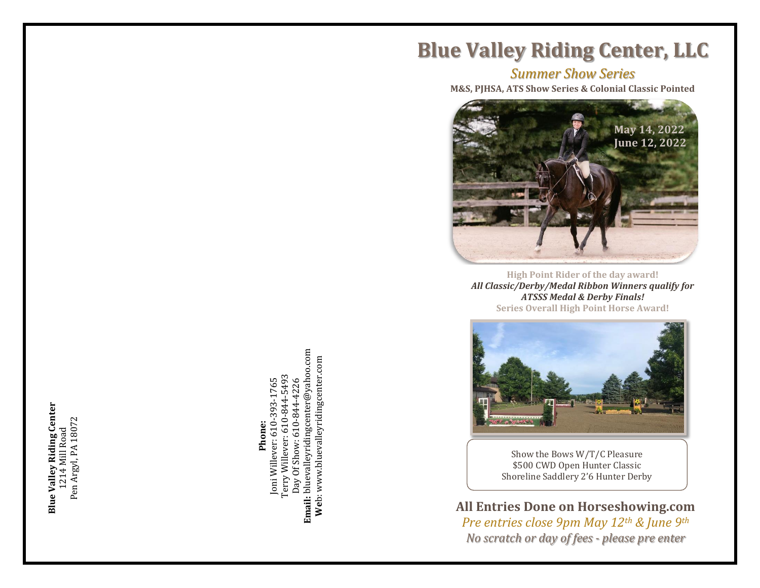**Blue Valley Riding Center Blue Valley Riding Center** 1214 Mill Road<br>Pen Argyl, PA 18072 Pen Argyl, PA 18072 1214 Mill Road

**Email:** bluevalleyridingcenter@yahoo.com<br>Web: www.bluevalleyridingcenter.com **Email:** blueva[lley](http://www.bluevalleyridingcenter.com/)[rid](mailto:bluevalleyridingcenter@yahoo.com)ingcenter@yahoo.com **We**b: www.bluevalleyridingcenter.com Terry Willever: 610-844-5493 Terry Willever: 610-844-5493 **Phone:**<br>Joni Willever: 610-393-1765 Joni Willever: 610-393-1765 Day Of Show: 610-844-4226 Day Of Show: 610-844-4226

**Blue Valley Riding Center, LLC**

*Summer Show Series*

**M&S, PJHSA, ATS Show Series & Colonial Classic Pointed**



**High Point Rider of the day award !** *All Classic/Derby/Medal Ribbon Winners qualify for ATSSS Medal & Derby Finals!* **Series Overall High Point Horse Award!**



Show the Bows W/T/C Pleasure \$500 CWD Open Hunter Classic Shoreline Saddlery 2'6 Hunter Derby

**All Entries Done on Horseshowing.com** *Pre entries close 9pm May 12th & June 9th No scratch or day of fees - please pre enter*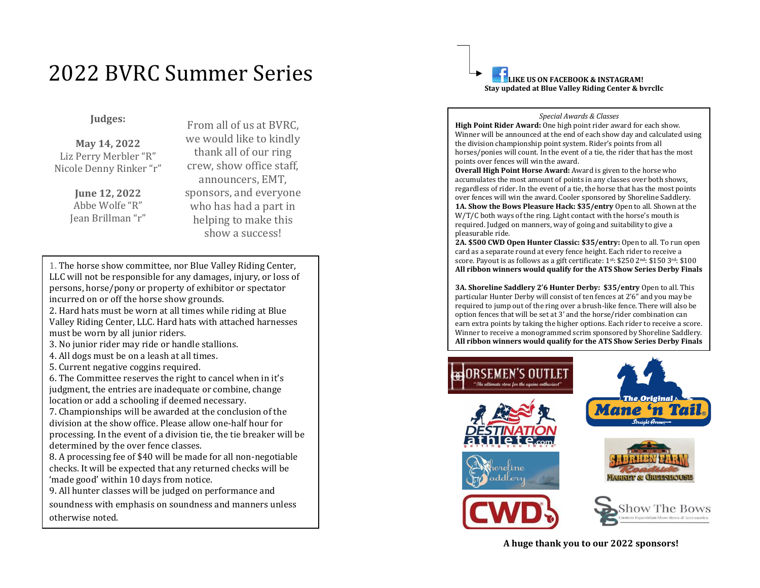# 2022 BVRC Summer Series

## **Judges:**

**May 14 , 2022** Liz Perry Merbler "R" Nicole Denny Rinker "r"

> **June 12, 2022** Abbe Wolfe "R" Jean Brillman "r"

From all of us at BVRC, we would like to kindly thank all of our ring crew, show office staff, announcers, EMT, sponsors, and everyone who has had a part in helping to make this show a success!

1. The horse show committee, nor Blue Valley Riding Center, LLC will not be responsible for any damages, injury, or loss of persons, horse/pony or property of exhibitor or spectator incurred on or off the horse show grounds.

2. Hard hats must be worn at all times while riding at Blue Valley Riding Center, LLC. Hard hats with attached harnesses must be worn by all junior riders.

3. No junior rider may ride or handle stallions.

4. All dogs must be on a leash at all times.

5. Current negative coggins required.

6. The Committee reserves the right to cancel when in it 's judgment, the entries are inadequate or combine, change location or add a schooling if deemed necessary.

7. Championships will be awarded at the conclusion of the division at the show office. Please allow one -half hour for processing. In the event of a division tie, the tie breaker will be determined by the over fence classes.

8. A processing fee of \$40 will be made for all non -negotiable checks. It will be expected that any returned checks will be 'made good' within 10 days from notice.

9. All hunter classes will be judged on performance and

soundness with emphasis on soundness and manners unless otherwise noted.

**LIKE US ON FACEBOOK & INSTAGRAM! Stay updated at Blue Valley Riding Center & bvrcllc**

#### *Special Awards & Classes*

**High Point Rider Award:** One high point rider award for each show. Winner will be announced at the end of each show day and calculated using the division championship point system. Rider's points from all horses/ponies will count. In the event of a tie, the rider that has the most points over fences will win the award.

**Overall High Point Horse Award:** Award is given to the horse who accumulates the most amount of points in any classes over both shows, regardless of rider. In the event of a tie, the horse that has the most points over fences will win the award. Cooler sponsored by Shoreline Saddlery. **1A. Show the Bows Pleasure Hack: \$35/entry** Open to all. Shown at the W/T/C both ways of the ring. Light contact with the horse's mouth is required. Judged on manners, way of going and suitability to give a pleasurable ride.

**2A. \$500 CWD Open Hunter Classic: \$35/entry:** Open to all. To run open card as a separate round at every fence height. Each rider to receive a score. Payout is as follows as a gift certificate: 1st: \$250 2nd: \$150 3rd: \$100 **All ribbon winners would qualify for the ATS Show Series Derby Finals**

**3A. Shoreline Saddlery 2'6 Hunter Derby: \$35/entry** Open to all. This particular Hunter Derby will consist of ten fences at 2'6" and you may be required to jump out of the ring over a brush -like fence. There will also be option fences that will be set at 3' and the horse/rider combination can earn extra points by taking the higher options. Each rider to receive a score. Winner to receive a monogrammed scrim sponsored by Shoreline Saddlery. **All ribbon winners would qualify for the ATS Show Series Derby Finals**



**A huge thank you to our 2022 sponsors!**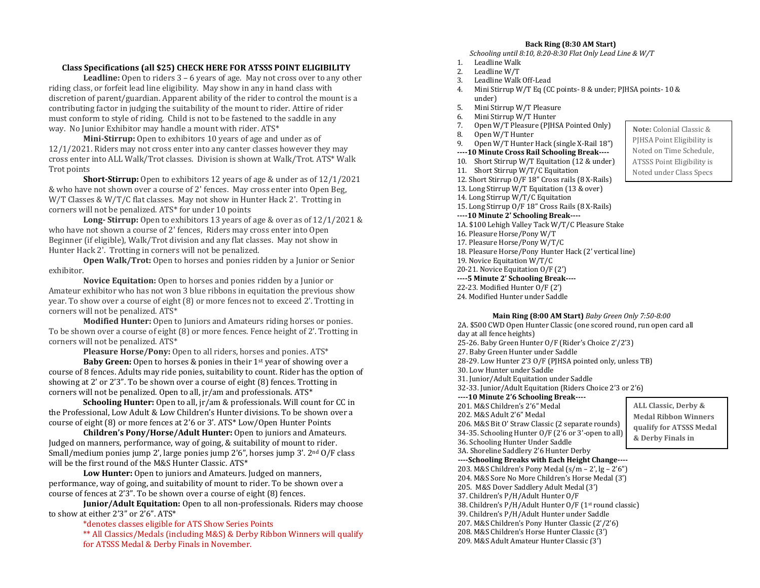### **Class Specifications (all \$25) CHECK HERE FOR ATSSS POINT ELIGIBILITY**

**Leadline:** Open to riders 3 – 6 years of age. May not cross over to any other riding class, or forfeit lead line eligibility. May show in any in hand class with discretion of parent/guardian. Apparent ability of the rider to control the mount is a contributing factor in judging the suitability of the mount to rider. Attire of rider must conform to style of riding. Child is not to be fastened to the saddle in any way. No Junior Exhibitor may handle a mount with rider. ATS\*

**Mini-Stirrup:** Open to exhibitors 10 years of age and under as of 12/1/2021. Riders may not cross enter into any canter classes however they may cross enter into ALL Walk/Trot classes. Division is shown at Walk/Trot. ATS\* Walk Trot points

**Short-Stirrup:** Open to exhibitors 12 years of age & under as of  $12/1/2021$ & who have not shown over a course of 2' fences. May cross enter into Open Beg, W/T Classes & W/T/C flat classes. May not show in Hunter Hack 2'. Trotting in corners will not be penalized. ATS\* for under 10 points

**Long- Stirrup:** Open to exhibitors 13 years of age & over as of 12/1/2021 & who have not shown a course of 2' fences, Riders may cross enter into Open Beginner (if eligible), Walk/Trot division and any flat classes. May not show in Hunter Hack 2'. Trotting in corners will not be penalized.

**Open Walk/Trot:** Open to horses and ponies ridden by a Junior or Senior exhibitor.

**Novice Equitation:** Open to horses and ponies ridden by a Junior or Amateur exhibitor who has not won 3 blue ribbons in equitation the previous show year. To show over a course of eight (8) or more fences not to exceed 2'. Trotting in corners will not be penalized. ATS\*

**Modified Hunter:** Open to Juniors and Amateurs riding horses or ponies. To be shown over a course of eight (8) or more fences. Fence height of 2'. Trotting in corners will not be penalized. ATS\*

Pleasure Horse/Pony: Open to all riders, horses and ponies. ATS\*

**Baby Green:** Open to horses & ponies in their 1<sup>st</sup> year of showing over a course of 8 fences. Adults may ride ponies, suitability to count. Rider has the option of showing at 2' or 2'3". To be shown over a course of eight (8) fences. Trotting in corners will not be penalized. Open to all, jr/am and professionals. ATS\*

**Schooling Hunter:** Open to all, jr/am & professionals. Will count for CC in the Professional, Low Adult & Low Children's Hunter divisions. To be shown over a course of eight (8) or more fences at 2'6 or 3'. ATS\* Low/Open Hunter Points

**Children's Pony/Horse/Adult Hunter:** Open to juniors and Amateurs. Judged on manners, performance, way of going, & suitability of mount to rider. Small/medium ponies jump 2', large ponies jump 2'6", horses jump 3'. 2nd O/F class will be the first round of the M&S Hunter Classic. ATS\*

**Low Hunter:** Open to juniors and Amateurs. Judged on manners, performance, way of going, and suitability of mount to rider. To be shown over a course of fences at 2'3". To be shown over a course of eight (8) fences.

**Junior/Adult Equitation:** Open to all non-professionals. Riders may choose to show at either 2'3" or 2'6". ATS\*

> \*denotes classes eligible for ATS Show Series Points \*\* All Classics/Medals (including M&S) & Derby Ribbon Winners will qualify for ATSSS Medal & Derby Finals in November.

#### **Back Ring (8:30 AM Start)**

*Schooling until 8:10, 8:20-8:30 Flat Only Lead Line & W/T*

- 1. Leadline Walk
- 2. Leadline W/T
- 3. Leadline Walk Off-Lead
- 4. Mini Stirrup W/T Eq (CC points- 8 & under; PJHSA points- 10 & under)
- 5. Mini Stirrup W/T Pleasure
- 6. Mini Stirrup W/T Hunter
- 7. Open W/T Pleasure (PJHSA Pointed Only)
- 8. Open W/T Hunter
- 9. Open W/T Hunter Hack (single X-Rail 18") **----10 Minute Cross Rail Schooling Break----** 10. Short Stirrup W/T Equitation (12 & under) 11. Short Stirrup W/T/C Equitation 12. Short Stirrup O/F 18" Cross rails (8 X-Rails) 13. Long Stirrup W/T Equitation (13 & over) 14. Long Stirrup W/T/C Equitation 15. Long Stirrup O/F 18" Cross Rails (8 X-Rails) **----10 Minute 2' Schooling Break----** 1A. \$100 Lehigh Valley Tack W/T/C Pleasure Stake
- 16. Pleasure Horse/Pony W/T 17. Pleasure Horse/Pony W/T/C 18. Pleasure Horse/Pony Hunter Hack (2' vertical line) 19. Novice Equitation W/T/C 20-21. Novice Equitation O/F (2') **----5 Minute 2' Schooling Break----** 22-23. Modified Hunter O/F (2') 24. Modified Hunter under Saddle

205. M&S Dover Saddlery Adult Medal (3') 37. Children's P/H/Adult Hunter O/F

38. Children's P/H/Adult Hunter O/F (1st round classic) 39. Children's P/H/Adult Hunter under Saddle 207. M&S Children's Pony Hunter Classic (2'/2'6) 208. M&S Children's Horse Hunter Classic (3') 209. M&S Adult Amateur Hunter Classic (3')

**Main Ring (8:00 AM Start)** *Baby Green Only 7:50-8:00* 2A. \$500 CWD Open Hunter Classic (one scored round, run open card all day at all fence heights) 25-26. Baby Green Hunter O/F (Rider's Choice 2'/2'3) 27. Baby Green Hunter under Saddle 28-29. Low Hunter 2'3 O/F (PJHSA pointed only, unless TB) 30. Low Hunter under Saddle 31. Junior/Adult Equitation under Saddle 32-33. Junior/Adult Equitation (Riders Choice 2'3 or 2'6) **----10 Minute 2'6 Schooling Break----** 201. M&S Children's 2'6" Medal 202. M&S Adult 2'6" Medal 206. M&S Bit O' Straw Classic (2 separate rounds) 34-35. Schooling Hunter O/F (2'6 or 3'-open to all) 36. Schooling Hunter Under Saddle 3A. Shoreline Saddlery 2'6 Hunter Derby **----Schooling Breaks with Each Height Change----** 203. M&S Children's Pony Medal (s/m – 2', lg – 2'6") 204. M&S Sore No More Children's Horse Medal (3') **ALL Classic, Derby & Medal Ribbon Winners qualify for ATSSS Medal & Derby Finals in**  <u>November 1989</u><br>November

**Note:** Colonial Classic & PJHSA Point Eligibility is Noted on Time Schedule, ATSSS Point Eligibility is Noted under Class Specs